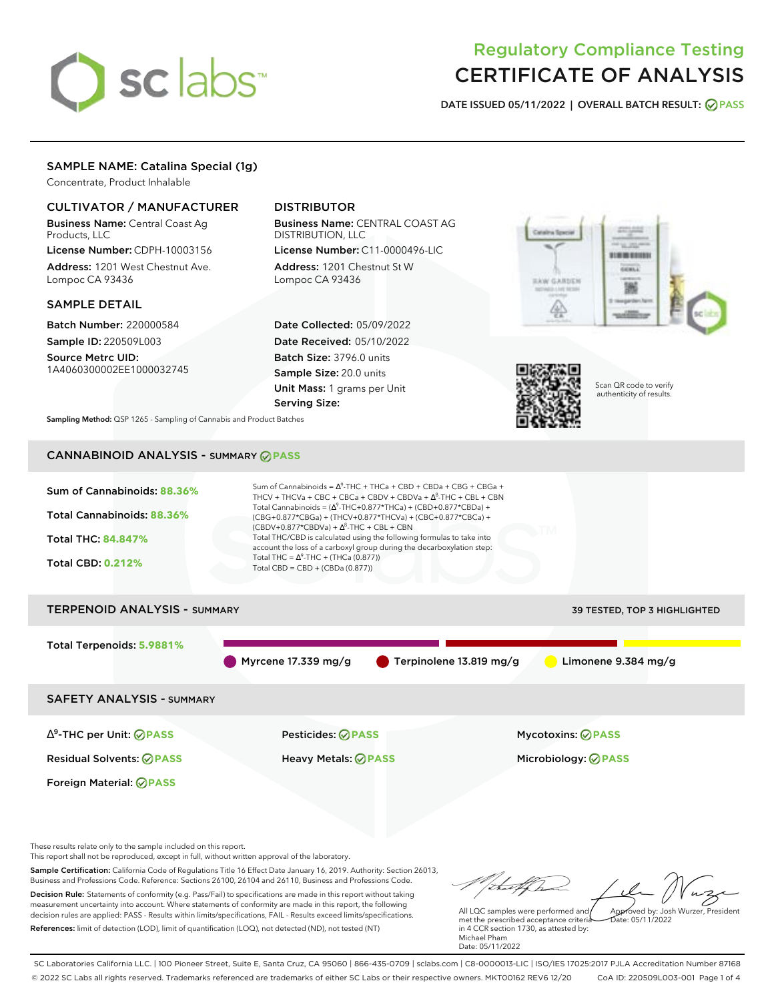# sclabs<sup>\*</sup>

# Regulatory Compliance Testing CERTIFICATE OF ANALYSIS

**DATE ISSUED 05/11/2022 | OVERALL BATCH RESULT: PASS**

# SAMPLE NAME: Catalina Special (1g)

Concentrate, Product Inhalable

# CULTIVATOR / MANUFACTURER

Business Name: Central Coast Ag Products, LLC

License Number: CDPH-10003156 Address: 1201 West Chestnut Ave. Lompoc CA 93436

# SAMPLE DETAIL

Batch Number: 220000584 Sample ID: 220509L003

Source Metrc UID: 1A4060300002EE1000032745

# DISTRIBUTOR

Business Name: CENTRAL COAST AG DISTRIBUTION, LLC License Number: C11-0000496-LIC

Address: 1201 Chestnut St W Lompoc CA 93436

Date Collected: 05/09/2022 Date Received: 05/10/2022 Batch Size: 3796.0 units Sample Size: 20.0 units Unit Mass: 1 grams per Unit Serving Size:





Scan QR code to verify authenticity of results.

**Sampling Method:** QSP 1265 - Sampling of Cannabis and Product Batches

# CANNABINOID ANALYSIS - SUMMARY **PASS**



This report shall not be reproduced, except in full, without written approval of the laboratory.

Sample Certification: California Code of Regulations Title 16 Effect Date January 16, 2019. Authority: Section 26013, Business and Professions Code. Reference: Sections 26100, 26104 and 26110, Business and Professions Code. Decision Rule: Statements of conformity (e.g. Pass/Fail) to specifications are made in this report without taking measurement uncertainty into account. Where statements of conformity are made in this report, the following decision rules are applied: PASS - Results within limits/specifications, FAIL - Results exceed limits/specifications.

References: limit of detection (LOD), limit of quantification (LOQ), not detected (ND), not tested (NT)

Approved by: Josh Wurzer, President

 $hat: 05/11/2022$ 

All LQC samples were performed and met the prescribed acceptance criteria in 4 CCR section 1730, as attested by: Michael Pham Date: 05/11/2022

SC Laboratories California LLC. | 100 Pioneer Street, Suite E, Santa Cruz, CA 95060 | 866-435-0709 | sclabs.com | C8-0000013-LIC | ISO/IES 17025:2017 PJLA Accreditation Number 87168 © 2022 SC Labs all rights reserved. Trademarks referenced are trademarks of either SC Labs or their respective owners. MKT00162 REV6 12/20 CoA ID: 220509L003-001 Page 1 of 4